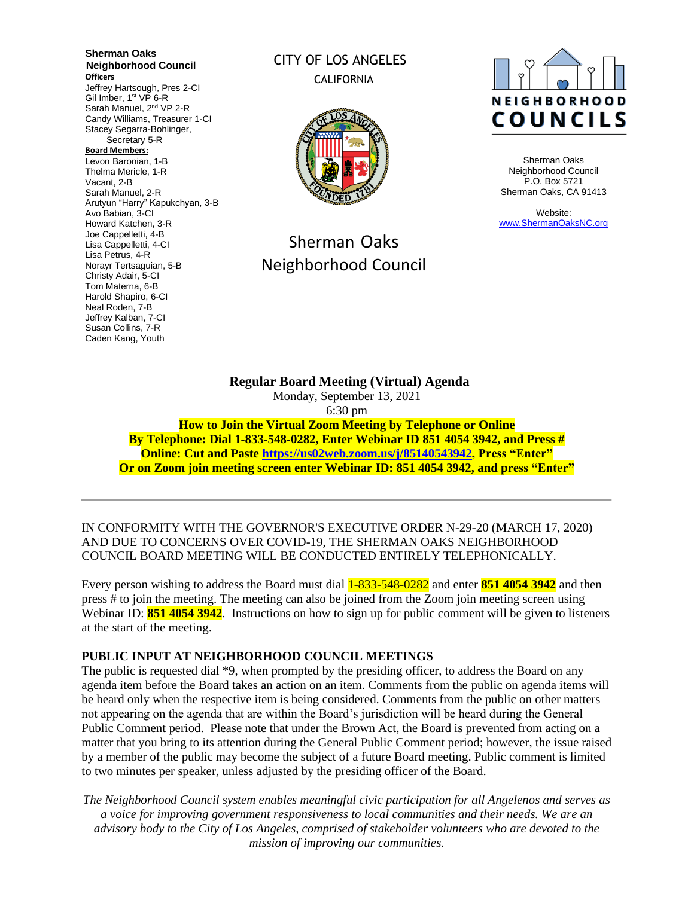**Sherman Oaks Neighborhood Council Officers** Jeffrey Hartsough, Pres 2-CI Gil Imber, 1<sup>st</sup> VP 6-R Sarah Manuel, 2<sup>nd</sup> VP 2-R Candy Williams, Treasurer 1-CI Stacey Segarra-Bohlinger, Secretary 5-R **Board Members:** Levon Baronian, 1-B Thelma Mericle, 1-R Vacant, 2-B Sarah Manuel, 2-R Arutyun "Harry" Kapukchyan, 3-B Avo Babian, 3-CI Howard Katchen, 3-R Joe Cappelletti, 4-B Lisa Cappelletti, 4-CI Lisa Petrus, 4-R Norayr Tertsaguian, 5-B Christy Adair, 5-CI Tom Materna, 6-B Harold Shapiro, 6-CI Neal Roden, 7-B Jeffrey Kalban, 7-CI Susan Collins, 7-R Caden Kang, Youth

## CITY OF LOS ANGELES CALIFORNIA



# Sherman Oaks Neighborhood Council



Sherman Oaks Neighborhood Council P.O. Box 5721 Sherman Oaks, CA 91413

Website: [www.ShermanOaksNC.org](http://www.shermanoaksnc.org/)

**Regular Board Meeting (Virtual) Agenda**  Monday, September 13, 2021 6:30 pm **How to Join the Virtual Zoom Meeting by Telephone or Online By Telephone: Dial 1-833-548-0282, Enter Webinar ID 851 4054 3942, and Press # Online: Cut and Paste [https://us02web.zoom.us/j/85140543942,](https://us02web.zoom.us/j/85140543942) Press "Enter" Or on Zoom join meeting screen enter Webinar ID: 851 4054 3942, and press "Enter"**

IN CONFORMITY WITH THE GOVERNOR'S EXECUTIVE ORDER N-29-20 (MARCH 17, 2020) AND DUE TO CONCERNS OVER COVID-19, THE SHERMAN OAKS NEIGHBORHOOD COUNCIL BOARD MEETING WILL BE CONDUCTED ENTIRELY TELEPHONICALLY.

Every person wishing to address the Board must dial 1-833-548-0282 and enter **851 4054 3942** and then press # to join the meeting. The meeting can also be joined from the Zoom join meeting screen using Webinar ID: **851 4054 3942**. Instructions on how to sign up for public comment will be given to listeners at the start of the meeting.

## **PUBLIC INPUT AT NEIGHBORHOOD COUNCIL MEETINGS**

The public is requested dial \*9, when prompted by the presiding officer, to address the Board on any agenda item before the Board takes an action on an item. Comments from the public on agenda items will be heard only when the respective item is being considered. Comments from the public on other matters not appearing on the agenda that are within the Board's jurisdiction will be heard during the General Public Comment period. Please note that under the Brown Act, the Board is prevented from acting on a matter that you bring to its attention during the General Public Comment period; however, the issue raised by a member of the public may become the subject of a future Board meeting. Public comment is limited to two minutes per speaker, unless adjusted by the presiding officer of the Board.

*The Neighborhood Council system enables meaningful civic participation for all Angelenos and serves as a voice for improving government responsiveness to local communities and their needs. We are an advisory body to the City of Los Angeles, comprised of stakeholder volunteers who are devoted to the mission of improving our communities.*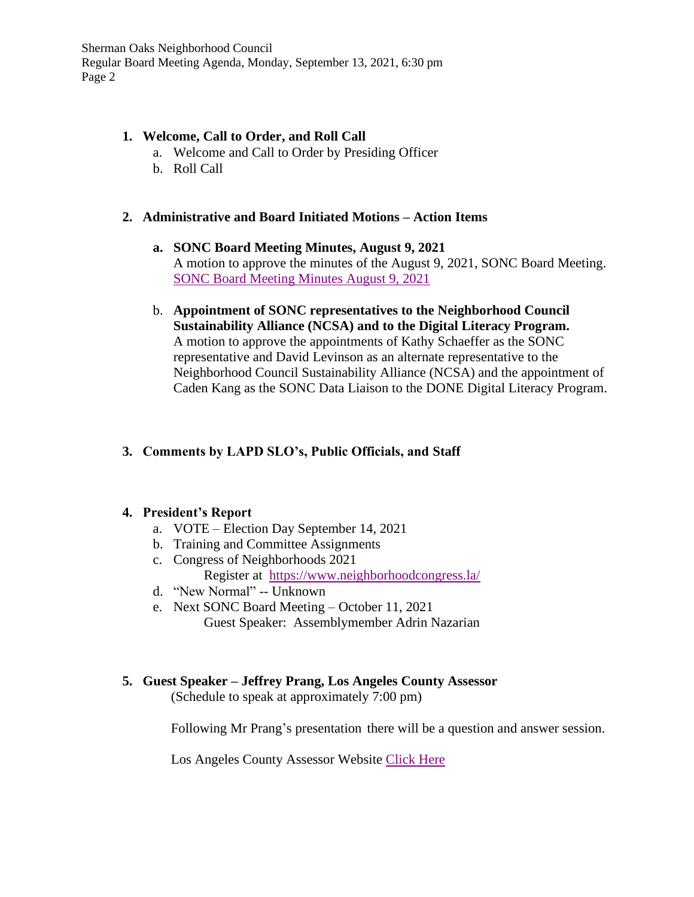## **1. Welcome, Call to Order, and Roll Call**

- a. Welcome and Call to Order by Presiding Officer
- b. Roll Call

## **2. Administrative and Board Initiated Motions – Action Items**

- **a. SONC Board Meeting Minutes, August 9, 2021** A motion to approve the minutes of the August 9, 2021, SONC Board Meeting. [SONC Board Meeting Minutes August 9, 2021](https://www.shermanoaksnc.org/ncfiles/viewCommitteeFile/23309)
- b. **Appointment of SONC representatives to the Neighborhood Council Sustainability Alliance (NCSA) and to the Digital Literacy Program.** A motion to approve the appointments of Kathy Schaeffer as the SONC representative and David Levinson as an alternate representative to the Neighborhood Council Sustainability Alliance (NCSA) and the appointment of Caden Kang as the SONC Data Liaison to the DONE Digital Literacy Program.

## **3. Comments by LAPD SLO's, Public Officials, and Staff**

## **4. President's Report**

- a. VOTE Election Day September 14, 2021
- b. Training and Committee Assignments
- c. Congress of Neighborhoods 2021 Register at <https://www.neighborhoodcongress.la/>
- d. "New Normal" -- Unknown
- e. Next SONC Board Meeting October 11, 2021 Guest Speaker: Assemblymember Adrin Nazarian

# **5. Guest Speaker – Jeffrey Prang, Los Angeles County Assessor**

(Schedule to speak at approximately 7:00 pm)

Following Mr Prang's presentation there will be a question and answer session.

Los Angeles County Assessor Website [Click Here](https://assessor.lacounty.gov/)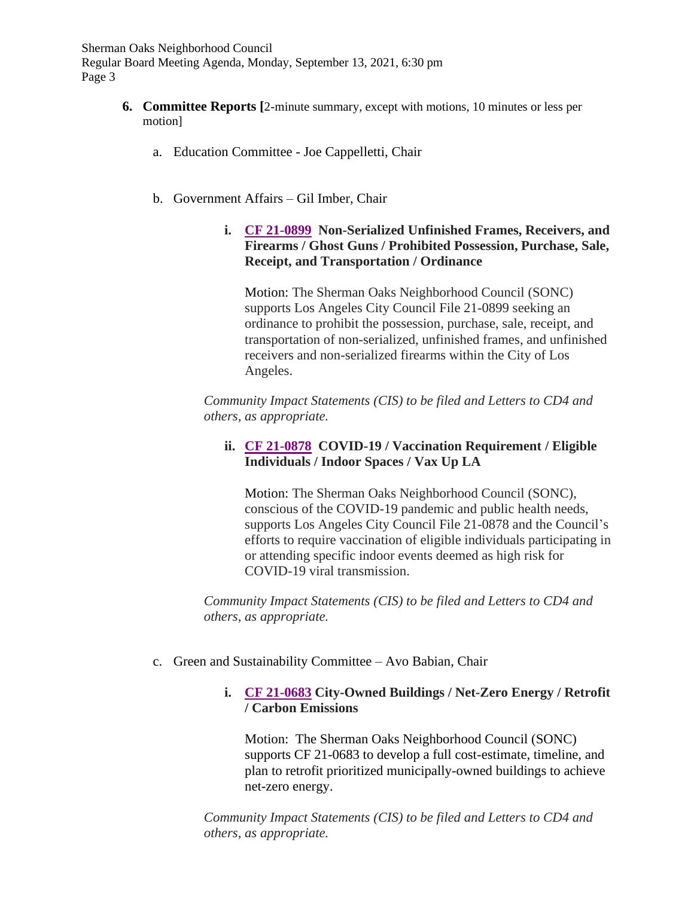- **6. Committee Reports [**2-minute summary, except with motions, 10 minutes or less per motion]
	- a. Education Committee Joe Cappelletti, Chair
	- b. Government Affairs Gil Imber, Chair
		- **i. [CF 21-0899](https://www.shermanoaksnc.org/ncfiles/viewCommitteeFile/23342) Non-Serialized Unfinished Frames, Receivers, and Firearms / Ghost Guns / Prohibited Possession, Purchase, Sale, Receipt, and Transportation / Ordinance**

Motion: The Sherman Oaks Neighborhood Council (SONC) supports Los Angeles City Council File 21-0899 seeking an ordinance to prohibit the possession, purchase, sale, receipt, and transportation of non-serialized, unfinished frames, and unfinished receivers and non-serialized firearms within the City of Los Angeles.

*Community Impact Statements (CIS) to be filed and Letters to CD4 and others, as appropriate.*

## **ii. [CF 21-0878](https://www.shermanoaksnc.org/ncfiles/viewCommitteeFile/23343) COVID-19 / Vaccination Requirement / Eligible Individuals / Indoor Spaces / Vax Up LA**

Motion: The Sherman Oaks Neighborhood Council (SONC), conscious of the COVID-19 pandemic and public health needs, supports Los Angeles City Council File 21-0878 and the Council's efforts to require vaccination of eligible individuals participating in or attending specific indoor events deemed as high risk for COVID-19 viral transmission.

*Community Impact Statements (CIS) to be filed and Letters to CD4 and others, as appropriate.*

c. Green and Sustainability Committee – Avo Babian, Chair

## **i. [CF 21-0683](https://www.shermanoaksnc.org/ncfiles/viewCommitteeFile/23344) City-Owned Buildings / Net-Zero Energy / Retrofit / Carbon Emissions**

Motion: The Sherman Oaks Neighborhood Council (SONC) supports CF 21-0683 to develop a full cost-estimate, timeline, and plan to retrofit prioritized municipally-owned buildings to achieve net-zero energy.

*Community Impact Statements (CIS) to be filed and Letters to CD4 and others, as appropriate.*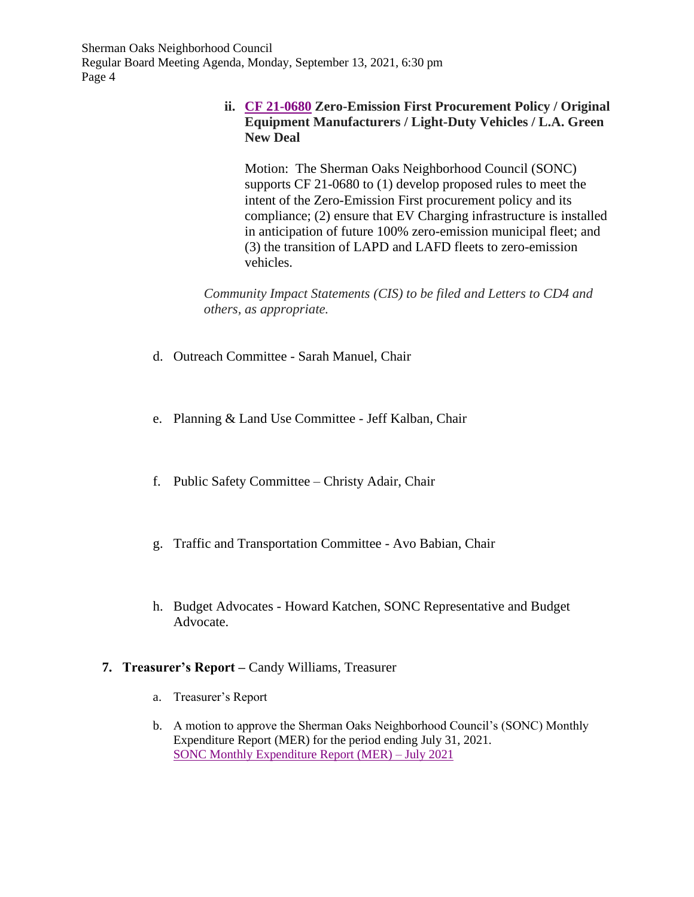## **ii. [CF 21-0680](https://www.shermanoaksnc.org/ncfiles/viewCommitteeFile/23345) Zero-Emission First Procurement Policy / Original Equipment Manufacturers / Light-Duty Vehicles / L.A. Green New Deal**

Motion: The Sherman Oaks Neighborhood Council (SONC) supports CF 21-0680 to (1) develop proposed rules to meet the intent of the Zero-Emission First procurement policy and its compliance; (2) ensure that EV Charging infrastructure is installed in anticipation of future 100% zero-emission municipal fleet; and (3) the transition of LAPD and LAFD fleets to zero-emission vehicles.

*Community Impact Statements (CIS) to be filed and Letters to CD4 and others, as appropriate.*

- d. Outreach Committee Sarah Manuel, Chair
- e. Planning & Land Use Committee Jeff Kalban, Chair
- f. Public Safety Committee Christy Adair, Chair
- g. Traffic and Transportation Committee Avo Babian, Chair
- h. Budget Advocates Howard Katchen, SONC Representative and Budget Advocate.

## **7. Treasurer's Report –** Candy Williams, Treasurer

- a. Treasurer's Report
- b. A motion to approve the Sherman Oaks Neighborhood Council's (SONC) Monthly Expenditure Report (MER) for the period ending July 31, 2021. [SONC Monthly Expenditure Report](https://www.shermanoaksnc.org/ncfiles/viewCommitteeFile/23310) (MER) – July 2021